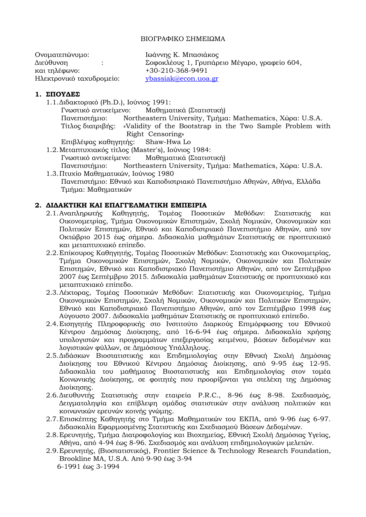#### ΒΙΟΓΡΑΦΙΚΟ ΣΗΜΕΙΩΜΑ

| Ονοματεπώνυμο:           | Ιωάννης Κ. Μπασιάκος                         |
|--------------------------|----------------------------------------------|
| Διεύθυνση                | Σοφοκλέους 1, Γρυπάρειο Μέγαρο, γραφείο 604, |
| και τηλέφωνο:            | +30-210-368-9491                             |
| Ηλεκτρονικό ταχυδρομείο: | $v$ bassiak@econ.uoa.gr                      |

#### **1. ΣΠΟΥΔΕΣ**

1.1.Διδακτορικό (Ph.D.), Ιούνιος 1991:

Γνωστικό αντικείμενο: Μαθηματικά (Στατιστική) Πανεπιστήμιο: Northeastern University, Τμήμα: Mathematics, Χώρα: U.S.A. Τίτλος διατριβής: «Validity of the Bootstrap in the Two Sample Problem with Right Censoring»

Επιβλέψας καθηγητής: Shaw-Hwa Lo

- 1.2.Μεταπτυχιακός τίτλος (Master's), Ιούνιος 1984:
	- Γνωστικό αντικείμενο: Μαθηματικά (Στατιστική)
- Πανεπιστήμιο: Northeastern University, Τμήμα: Mathematics, Χώρα: U.S.A. 1.3.Πτυχίο Μαθηματικών, Ιούνιος 1980 Πανεπιστήμιο: Εθνικό και Καποδιστριακό Πανεπιστήμιο Αθηνών, Αθήνα, Ελλάδα Τμήμα: Μαθηματικών

### **2. ΔΙΔΑΚΤΙΚΗ ΚΑΙ ΕΠΑΓΓΕΛΜΑΤΙΚΗ ΕΜΠΕΙΡΙΑ**

- 2.1.Αναπληρωτής Καθηγητής, Τομέας Ποσοτικών Μεθόδων: Στατιστικής και Οικονομετρίας, Τμήμα Οικονομικών Επιστημών, Σχολή Νομικών, Οικονομικών και Πολιτικών Επιστημών, Εθνικό και Καποδιστριακό Πανεπιστήμιο Αθηνών, από τον Οκτώβριο 2015 έως σήμερα. Διδασκαλία μαθημάτων Στατιστικής σε προπτυχιακό και μεταπτυχιακό επίπεδο.
- 2.2.Επίκουρος Καθηγητής, Τομέας Ποσοτικών Μεθόδων: Στατιστικής και Οικονομετρίας, Τμήμα Οικονομικών Επιστημών, Σχολή Νομικών, Οικονομικών και Πολιτικών Επιστημών, Εθνικό και Καποδιστριακό Πανεπιστήμιο Αθηνών, από τον Σεπτέμβριο 2007 έως Σεπτέμβριο 2015. Διδασκαλία μαθημάτων Στατιστικής σε προπτυχιακό και μεταπτυχιακό επίπεδο.
- 2.3.Λέκτορας, Τομέας Ποσοτικών Μεθόδων: Στατιστικής και Οικονομετρίας, Τμήμα Οικονομικών Επιστημών, Σχολή Νομικών, Οικονομικών και Πολιτικών Επιστημών, Εθνικό και Καποδιστριακό Πανεπιστήμιο Αθηνών, από τον Σεπτέμβριο 1998 έως Αύγουστο 2007. Διδασκαλία μαθημάτων Στατιστικής σε προπτυχιακό επίπεδο.
- 2.4.Εισηγητής Πληροφορικής στο Ινστιτούτο Διαρκούς Επιμόρφωσης του Εθνικού Κέντρου Δημόσιας Διοίκησης, από 16-6-94 έως σήμερα. Διδασκαλία χρήσης υπολογιστών και προγραμμάτων επεξεργασίας κειμένου, βάσεων δεδομένων και λογιστικών φύλλων, σε Δημόσιους Υπάλληλους.
- 2.5.Διδάσκων Βιοστατιστικής και Επιδημιολογίας στην Εθνική Σχολή Δημόσιας Διοίκησης του Εθνικού Κέντρου Δημόσιας Διοίκησης, από 9-95 έως 12-95. Διδασκαλία του μαθήματος Βιοστατιστικής και Επιδημιολογίας στον τομέα Κοινωνικής Διοίκησης, σε φοιτητές που προορίζονται για στελέχη της Δημόσιας Διοίκησης.
- 2.6.Διευθυντής Στατιστικής στην εταιρεία P.R.C., 8-96 έως 8-98. Σχεδιασμός, Δειγματοληψία και επίβλεψη ομάδας στατιστικών στην ανάλυση πολιτικών και κοινωνικών ερευνών κοινής γνώμης.
- 2.7.Επισκέπτης Καθηγητής στο Τμήμα Μαθηματικών του ΕΚΠΑ, από 9-96 έως 6-97. Διδασκαλία Εφαρμοσμένης Στατιστικής και Σχεδιασμού Βάσεων Δεδομένων.
- 2.8.Ερευνητής, Τμήμα Διατροφολογίας και Βιοχημείας, Εθνική Σχολή Δημόσιας Υγείας, Αθήνα, από 4-94 έως 8-96. Σχεδιασμός και ανάλυση επιδημιολογικών μελετών.
- 2.9.Ερευνητής, (Βιοστατιστικός), Frontier Science & Technology Research Foundation, Brookline MA, U.S.A. Από 9-90 έως 3-94 6-1991 έως 3-1994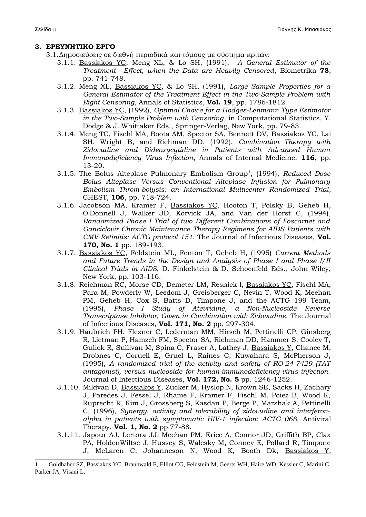### **3. ΕΡΕΥΝΗΤΙΚΟ ΕΡΓΟ**

- 3.1.Δημοσιεύσεις σε διεθνή περιοδικά και τόμους με σύστημα κριτών:
	- 3.1.1. Bassiakos YC, Meng XL, & Lo SH, (1991), *A General Estimator of the Treatment Effect, when the Data are Heavily Censored*, Biometrika **78**, pp. 741-748.
	- 3.1.2. Meng XL, Bassiakos YC, & Lo SH, (1991), *Large Sample Properties for a General Estimator of the Treatment Effect in the Two-Sample Problem with Right Censoring*, Annals of Statistics, **Vol. 19**, pp. 1786-1812.
	- 3.1.3. Bassiakos YC, (1992), *Optimal Choice for a Hodges-Lehmann Type Estimator in the Two-Sample Problem with Censoring*, in Computational Statistics, Y. Dodge & J. Whittaker Eds., Springer-Verlag, New York, pp. 79-83.
	- 3.1.4. Meng TC, Fischl MA, Boota AM, Spector SA, Bennett DV, Bassiakos YC, Lai SH, Wright B, and Richman DD, (1992), *Combination Therapy with Zidovudine and Dideoxycytidine in Patients with Advanced Human Immunodeficiency Virus Infection*, Annals of Internal Medicine, **116**, pp. 13-20.
	- 3.[1](#page-1-0).5. The Bolus Alteplase Pulmonary Embolism Group<sup>1</sup>, (1994), *Reduced Dose Bolus Alteplase Versus Conventional Alteplase Infusion for Pulmonary Embolism Throm-bolysis: an International Multicenter Randomized Trial*, CHEST, **106**, pp. 718-724.
	- 3.1.6. Jacobson MA, Kramer F, Bassiakos YC, Hooton T, Polsky B, Geheb H, O'Donnell J, Walker JD, Korvick JA, and Van der Horst C, (1994), *Randomized Phase I Trial of two Different Combinations of Foscarnet and Ganciclovir Chronic Maintenance Therapy Regimens for AIDS Patients with CMV Retinitis: ACTG protocol 151.* The Journal of Infectious Diseases, **Vol. 170, No. 1** pp. 189-193.
	- 3.1.7. Bassiakos YC, Feldstein ML, Fenton T, Geheb H, (1995) *Current Methods and Future Trends in the Design and Analysis of Phase I and Phase I/II Clinical Trials in AIDS*, D. Finkelstein & D. Schoenfeld Eds., John Wiley, New York, pp. 103-116.
	- 3.1.8. Reichman RC, Morse CD, Demeter LM, Resnick l, Bassiakos YC, Fischl MA, Para M, Powderly W, Leedom J, Greisberger C, Nevin T, Wood K, Meehan PM, Geheb H, Cox S, Batts D, Timpone J, and the ACTG 199 Team, (1995), *Phase I Study of Atevridine, a Non-Nucleoside Reverse Transcriptase Inhibitor, Given in Combination with Zidovudine.* The Journal of Infectious Diseases, **Vol. 171, No. 2** pp. 297-304.
	- 3.1.9. Haubrich PH, Flexner C, Lederman MM, Hirsch M, Pettinelli CP, Ginsberg R, Lietman P, Hamzeh FM, Spector SA, Richman DD, Hammer S, Cooley T, Gulick R, Sullivan M, Spina C, Fraser A, Lathey J, Bassiakos Y, Chance M, Drobnes C, Coruell E, Gruel L, Raines C, Kuwahara S, McPherson J, (1995), *A randomized trial of the activity and safety of RO-24-7429 (TAT antagonist), versus nucleoside for human-immunodeficiency-virus infection.* Journal of Infectious Diseases, **Vol. 172, No. 5** pp. 1246-1252.
	- 3.1.10. Mildvan D, Bassiakos Y, Zucker M, Hyslop N, Krown SE, Sacks H, Zachary J, Paredes J, Fessel J, Rhame F, Kramer F, Fischl M, Poiez B, Wood K, Ruprecht R, Kim J, Grossberg S, Kasdan P, Berge P, Marshak A, Pettinelli C, (1996), *Synergy, activity and tolerability of zidovudine and interferonalpha in patients with symptomatic HIV-1 infection: ACTG 068.* Antiviral Therapy, **Vol. 1, No. 2** pp.77-88.
	- 3.1.11. Japour AJ, Lertora JJ, Meehan PM, Erice A, Connor JD, Griffith BP, Clax PA, HoldenWiltse J, Hussey S, Walesky M, Conney E, Pollard R, Timpone J, McLaren C, Johanneson N, Wood K, Booth Dk, Bassiakos Y,

<span id="page-1-0"></span><sup>1</sup> Goldhaber SZ, Bassiakos YC, Braunwald E, Elliot CG, Feldstein M, Geerts WH, Haire WD, Kessler C, Marini C, Parker JA, Visani L.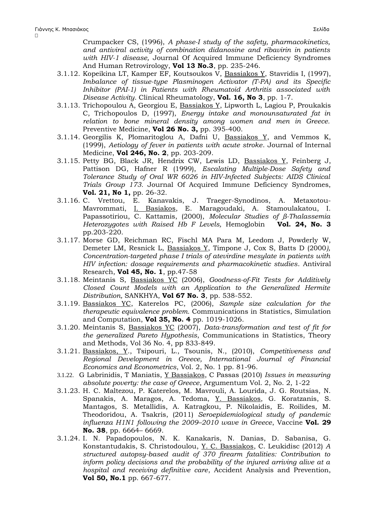$\Box$ 

Crumpacker CS, (1996), *A phase-I study of the safety, pharmacokinetics, and antiviral activity of combination didanosine and ribavirin in patients with HIV-1 disease,* Journal Of Acquired Immune Deficiency Syndromes And Human Retrovirology, **Vol 13 No.3**, pp. 235-246.

- 3.1.12. Kopeikina LT, Kamper EF, Koutsoukos V, Bassiakos Y, Stavridis I, (1997), *Imbalance of tissue-type Plasminogen Activator (T-PA) and its Specific Inhibitor (PAI-1) in Patients with Rheumatoid Arthritis associated with Disease Activity.* Clinical Rheumatology, **Vol. 16, No 3**, pp. 1-7.
- 3.1.13. Trichopoulou A, Georgiou E, Bassiakos Y, Lipworth L, Lagiou P, Proukakis C, Trichopoulos D, (1997), *Energy intake and monounsaturated fat in relation to bone mineral density among women and men in Greece.* Preventive Medicine, **Vol 26 No. 3,** pp. 395-400.
- 3.1.14. Georgilis K, Plomaritoglou A, Dafni U, Bassiakos Y, and Vemmos K, (1999), *Aetiology of fever in patients with acute stroke*. Journal of Internal Medicine, **Vol 246, No. 2**, pp. 203-209.
- 3.1.15. Petty BG, Black JR, Hendrix CW, Lewis LD, Bassiakos Y, Feinberg J, Pattison DG, Hafner R (1999), *Escalating Multiple-Dose Safety and Tolerance Study of Oral WR 6026 in HIV-Infected Subjects: AIDS Clinical Trials Group 173.* Journal Of Acquired Immune Deficiency Syndromes, **Vol. 21, No 1,** pp. 26-32.
- 3.1.16. C. Vrettou, E. Kanavakis, J. Traeger-Synodinos, A. Metaxotou-Mavrommati, I. Basiakos, E. Maragoudaki, A. Stamoulakatou, I. Papassotiriou, C. Kattamis, (2000), *Molecular Studies of β-Thalassemia Heterozygotes with Raised Hb F Levels,* Hemoglobin **Vol. 24, No. 3** pp.203-220.
- 3.1.17. Morse GD, Reichman RC, Fischl MA Para M, Leedom J, Powderly W, Demeter LM, Resnick L, Bassiakos Y, Timpone J, Cox S, Batts D (2000*), Concentration-targeted phase I trials of atevirdine mesylate in patients with HIV infection: dosage requirements and pharmacokinetic studies*. Antiviral Research, **Vol 45, No. 1**, pp.47-58
- 3.1.18. Meintanis S, Bassiakos YC (2006), *Goodness-of-Fit Tests for Additively Closed Count Models with an Application to the Generalized Hermite Distribution,* SANKHYA, **Vol 67 No. 3**, pp. 538-552.
- 3.1.19. Bassiakos YC, Katerelos PC, (2006), *Sample size calculation for the therapeutic equivalence problem.* Communications in Statistics, Simulation and Computation, **Vol 35, No. 4** pp. 1019-1026.
- 3.1.20. Meintanis S, Bassiakos YC (2007), *Data-transformation and test of fit for the generalized Pareto Hypothesis*, Communications in Statistics, Theory and Methods, Vol 36 No. 4, pp 833-849.
- 3.1.21. Bassiakos, Y., Tsipouri, L., Tsounis, N., (2010), *Competitiveness and Regional Development in Greece, International Journal of Financial Economics and Econometrics*, Vol. 2, No. 1 pp. 81-96.
- 3.1.22. G Labrinidis, T Maniatis, Y Bassiakos, C Passas (2010) *[Issues in measuring](http://scholar.google.gr/citations?view_op=view_citation&hl=el&user=SBuJ-1UAAAAJ&pagesize=100&citation_for_view=SBuJ-1UAAAAJ:ufrVoPGSRksC) [absolute poverty: the case of Greece](http://scholar.google.gr/citations?view_op=view_citation&hl=el&user=SBuJ-1UAAAAJ&pagesize=100&citation_for_view=SBuJ-1UAAAAJ:ufrVoPGSRksC)*, Argumentum Vol. 2, No. 2, 1-22
- 3.1.23. H. C. Maltezou, P. Katerelos, M. Mavrouli, A. Lourida, J. G. Routsias, N. Spanakis, A. Maragos, A. Tedoma, Y. Bassiakos, G. Koratzanis, S. Mantagos, S. Metallidis, A. Katragkou, P. Nikolaidis, E. Roilides, M. Theodoridou, A. Tsakris, (2011) *Seroepidemiological study of pandemic influenza H1N1 following the 2009–2010 wave in Greece*, Vaccine **Vol. 29 No. 38**, pp. 6664– 6669.
- 3.1.24. I. N. Papadopoulos, N. K. Kanakaris, N. Danias, D. Sabanisa, G. Konstantudakis, S. Christodoulou, Y. C. Bassiakos, C. Leukidisc (2012) *A structured autopsy-based audit of 370 firearm fatalities: Contribution to inform policy decisions and the probability of the injured arriving alive at a hospital and receiving definitive care*, Accident Analysis and Prevention, **Vol 50, No.1** pp. 667-677.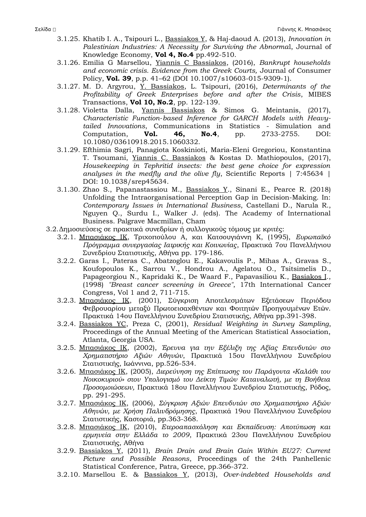- 3.1.25. Khatib I. A., Tsipouri L., Bassiakos Y, & Haj-daoud A. (2013), *Innovation in Palestinian Industries: A Necessity for Surviving the Abnorma*l, Journal of Knowledge Economy, **Vol 4, No.4** pp.492-510.
- 3.1.26. Emilia G Marsellou, Yiannis C Bassiakos, (2016), *Bankrupt households and economic crisis. Evidence from the Greek Courts,* Journal of Consumer Policy, **Vol. 39**, p.p. 41–62 (DOI 10.1007/s10603-015-9309-1).
- 3.1.27. M. D. Argyrou, Y. Bassiakos, L. Tsipouri, (2016), *Determinants of the Profitability of Greek Enterprises before and after the Crisis*, MIBES Transactions, **Vol 10, No.2**, pp. 122-139.
- 3.1.28. Violetta Dalla, Yannis Bassiakos & Simos G. Meintanis, (2017), *Characteristic Function‐based Inference for GARCH Models with Heavy‐ tailed Innovations*, Communications in Statistics - Simulation and Computation, **Vol. 46, No.4**, pp. 2733-2755. DOI: 10.1080/03610918.2015.1060332.
- 3.1.29. Efthimia Sagri, Panagiota Koskinioti, Maria-Eleni Gregoriou, Konstantina T. Tsoumani, Yiannis C. Bassiakos & Kostas D. Mathiopoulos, (2017), *Housekeeping in Tephritid insects: the best gene choice for expression analyses in the medfly and the olive fly*, Scientific Reports | 7:45634 | DOI: 10.1038/srep45634.
- 3.1.30. Zhao S., Papanastassiou M., Bassiakos Y., Sinani E., Pearce R. (2018) Unfolding the Intraorganisational Perception Gap in Decision-Making. In: *Contemporary Issues in International Business*, Castellani D., Narula R., Nguyen Q., Surdu I., Walker J. (eds). The Academy of International Business. Palgrave Macmillan, Cham
- 3.2.Δημοσιεύσεις σε πρακτικά συνεδρίων ή συλλογικούς τόμους με κριτές:
	- 3.2.1. Μπασιάκος ΙΚ, Τριχοπούλου Α, και Κατσουγιάννη Κ, (1995), *Ευρωπαϊκό Πρόγραμμα συνεργασίας Ιατρικής και Κοινωνίας*, Πρακτικά 7ου Πανελλήνιου Συνεδρίου Στατιστικής, Αθήνα pp. 179-186.
	- 3.2.2. Garas I., Pateras C., Abatzoglou E., Kakavoulis P., Mihas A., Gravas S., Koufopoulos K., Sarrou V., Hondrou A., Agelatou O., Tsitsimelis D., Papageorgiou N., Kapridaki K., De Waard F., Papavasiliou K., Basiakos I., (1998) *"Breast cancer screening in Greece"*, 17th International Cancer Congress, Vol 1 and 2, 711-715.
	- 3.2.3. Μπασιάκος ΙΚ, (2001), Σύγκριση Αποτελεσμάτων Εξετάσεων Περιόδου Φεβρουαρίου μεταξύ Πρωτοεισαχθέντων και Φοιτητών Προηγουμένων Ετών. Πρακτικά 14ου Πανελλήνιου Συνεδρίου Στατιστικής, Αθήνα pp.391-398.
	- 3.2.4. Bassiakos YC, Preza C, (2001), *Residual Weighting in Survey Sampling*, Proceedings of the Annual Meeting of the American Statistical Association, Atlanta, Georgia USA.
	- 3.2.5. Μπασιάκος ΙΚ, (2002), *Έρευνα για την Εξέλιξη της Αξίας Επενδυτών στο Χρηματιστήριο Αξιών Αθηνών*, Πρακτικά 15ου Πανελλήνιου Συνεδρίου Στατιστικής, Ιωάννινα, pp.526-534.
	- 3.2.6. Μπασιάκος ΙΚ, (2005), *Διερεύνηση της Επίπτωσης του Παράγοντα «Καλάθι του Νοικοκυριού» στον Υπολογισμό του Δείκτη Τιμών Καταναλωτή, με τη Βοήθεια Προσομοιώσεων,* Πρακτικά 18ου Πανελλήνιου Συνεδρίου Στατιστικής, Ρόδος, pp. 291-295.
	- 3.2.7. Μπασιάκος ΙΚ, (2006), *Σύγκριση Αξιών Επενδυτών στο Χρηματιστήριο Αξιών Αθηνών, με Χρήση Παλινδρόμησης*, Πρακτικά 19ου Πανελλήνιου Συνεδρίου Στατιστικής, Καστοριά, pp.363-368.
	- 3.2.8. Μπασιάκος ΙΚ, (2010), *Ετεροαπασχόληση και Εκπαίδευση: Αποτύπωση και ερμηνεία στην Ελλάδα το 2009*, Πρακτικά 23ου Πανελλήνιου Συνεδρίου Στατιστικής, Αθήνα
	- 3.2.9. Bassiakos Y, (2011), *Brain Drain and Brain Gain Within EU27: Current Picture and Possible Reasons*, Proceedings of the 24th Panhellenic Statistical Conference, Patra, Greece, pp.366-372.
	- 3.2.10. Marsellou E. & Bassiakos Y, (2013), *Over-indebted Households and*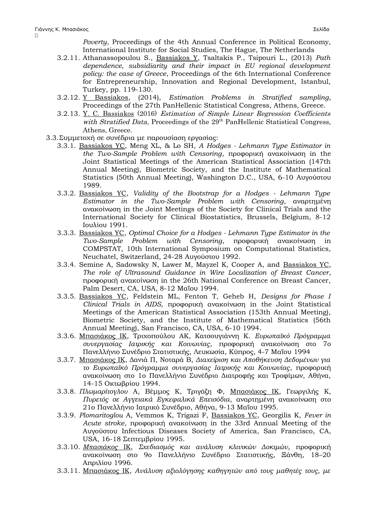$\Box$ 

*Poverty*, Proceedings of the 4th Annual Conference in Political Economy, International Institute for Social Studies, The Hague, The Netherlands

- 3.2.11. Athanassopoulou S., Bassiakos Y, Tsaltakis P., Tsipouri L., (2013) *Path dependence, subsidiarity and their impact in EU regional development policy: the case of Greece*, Proceedings of the 6th International Conference for Entrepreneurship, Innovation and Regional Development, Istanbul, Turkey, pp. 119-130.
- 3.2.12. Y Bassiakos, (2014), *Estimation Problems in Stratified sampling*, Proceedings of the 27th PanHellenic Statistical Congress, Athens, Greece.
- 3.2.13. Y. C. Bassiakos (2016) Estimation of Simple Linear Regression Coefficients with Stratified Data, Proceedings of the 29<sup>th</sup> PanHellenic Statistical Congress, Athens, Greece.
- 3.3.Συμμετοχή σε συνέδρια με παρουσίαση εργασίας:
	- 3.3.1. Bassiakos YC, Meng XL, & Lo SH, *A Hodges Lehmann Type Estimator in the Two-Sample Problem with Censoring*, προφορική ανακοίνωση in the Joint Statistical Meetings of the American Statistical Association (147th Annual Meeting), Biometric Society, and the Institute of Mathematical Statistics (50th Annual Meeting), Washington D.C., USA, 6-10 Αυγούστου 1989.
	- 3.3.2. Bassiakos YC, *Validity of the Bootstrap for a Hodges Lehmann Type Estimator in the Two-Sample Problem with Censoring*, αναρτημένη ανακοίνωση in the Joint Meetings of the Society for Clinical Trials and the International Society for Clinical Biostatistics, Brussels, Belgium, 8-12 Ιουλίου 1991.
	- 3.3.3. Bassiakos YC, *Optimal Choice for a Hodges Lehmann Type Estimator in the Two-Sample Problem with Censoring*, προφορική ανακοίνωση in COMPSTAT, 10th International Symposium on Computational Statistics, Neuchatel, Switzerland, 24-28 Αυγούστου 1992.
	- 3.3.4. Semine A, Sadowsky N, Lawer M, Mayzel K, Cooper A, and Bassiakos YC, *The role of Ultrasound Guidance in Wire Localization of Breast Cancer*, προφορική ανακοίνωση in the 26th National Conference on Breast Cancer, Palm Desert, CA, USA, 8-12 Μαΐου 1994.
	- 3.3.5. Bassiakos YC, Feldstein ML, Fenton T, Geheb H, *Designs for Phase I Clinical Trials in AIDS*, προφορική ανακοίνωση in the Joint Statistical Meetings of the American Statistical Association (153th Annual Meeting), Biometric Society, and the Institute of Mathematical Statistics (56th Annual Meeting), San Francisco, CA, USA, 6-10 1994.
	- 3.3.6. Μπασιάκος ΙΚ, Τριχοπούλου ΑΚ, Κατσουγιάννη Κ. *Ευρωπαϊκό Πρόγραμμα συνεργασίας Ιατρικής και Κοινωνίας*, προφορική ανακοίνωση στο 7ο Πανελλήνιο Συνέδριο Στατιστικής, Λευκωσία, Κύπρος, 4-7 Μαΐου 1994
	- 3.3.7. Μπασιάκος ΙΚ, Δανιά Π, Νοταρά Β, *Διαχείριση και Αποθήκευση Δεδομένων για το Ευρωπαϊκό Πρόγραμμα συνεργασίας Ιατρικής και Κοινωνίας*, προφορική ανακοίνωση στο 1ο Πανελλήνιο Συνέδριο Διατροφής και Τροφίμων, Αθήνα, 14-15 Οκτωβρίου 1994.
	- 3.3.8. *Πλωμαρίτογλου* Α, Βέμμος Κ, Τριγάζη Φ, Μπασιάκος ΙΚ, Γεωργιλής Κ, *Πυρετός σε Αγγειακά Εγκεφαλικά Επεισόδια*, αναρτημένη ανακοίνωση στο 21ο Πανελλήνιο Ιατρικό Συνέδριο, Αθήνα, 9-13 Μαΐου 1995.
	- 3.3.9. *Plomaritoglou* A, Vemmos K, Trigazi F, Bassiakos YC, Georgilis K, *Fever in Acute stroke*, προφορική ανακοίνωση in the 33rd Annual Meeting of the Αυγούστου Infectious Diseases Society of America, San Francisco, CA, USA, 16-18 Σεπτεμβρίου 1995.
	- 3.3.10. *Μπασιάκος* ΙΚ, *Σχεδιασμός και ανάλυση κλινικών Δοκιμών*, προφορική ανακοίνωση στο 9ο Πανελλήνιο Συνέδριο Στατιστικής, Ξάνθη, 18–20 Απριλίου 1996.
	- 3.3.11. Μπασιάκος ΙΚ, *Ανάλυση αξιολόγησης καθηγητών από τους μαθητές τους, με*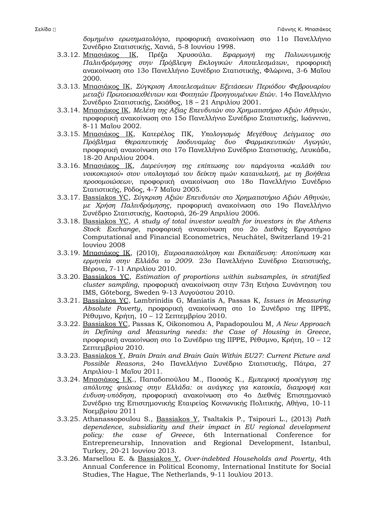*δομημένο ερωτηματολόγιο*, προφορική ανακοίνωση στο 11ο Πανελλήνιο Συνέδριο Στατιστικής, Χανιά, 5-8 Ιουνίου 1998.

- 3.3.12. Μπασιάκος ΙΚ, Πρέζα Χρυσούλα. *Εφαρμογή της Πολυωνυμικής Παλινδρόμησης στην Πρόβλεψη Εκλογικών Αποτελεσμάτων*, προφορική ανακοίνωση στο 13ο Πανελλήνιο Συνέδριο Στατιστικής, Φλώρινα, 3-6 Μαΐου 2000.
- 3.3.13. Μπασιάκος ΙΚ, *Σύγκριση Αποτελεσμάτων Εξετάσεων Περιόδου Φεβρουαρίου μεταξύ Πρωτοεισαχθέντων και Φοιτητών Προηγουμένων Ετών*. 14ο Πανελλήνιο Συνέδριο Στατιστικής, Σκιάθος, 18 – 21 Απριλίου 2001.
- 3.3.14. Μπασιάκος ΙΚ, *Μελέτη της Αξίας Επενδυτών στο Χρηματιστήριο Αξιών Αθηνών*, προφορική ανακοίνωση στο 15ο Πανελλήνιο Συνέδριο Στατιστικής, Ιωάννινα, 8-11 Μαΐου 2002.
- 3.3.15. Μπασιάκος ΙΚ, Κατερέλος ΠΚ, *Υπολογισμός Μεγέθους Δείγματος στο Πρόβλημα Θεραπευτικής Ισοδυναμίας δυο Φαρμακευτικών Αγωγών*, προφορική ανακοίνωση στο 17ο Πανελλήνιο Συνέδριο Στατιστικής, Λευκάδα, 18-20 Απριλίου 2004.
- 3.3.16. Μπασιάκος ΙΚ, *Διερεύνηση της επίπτωσης του παράγοντα «καλάθι του νοικοκυριού» στον υπολογισμό του δείκτη τιμών καταναλωτή, με τη βοήθεια προσομοιώσεων*, προφορική ανακοίνωση στο 18ο Πανελλήνιο Συνέδριο Στατιστικής, Ρόδος, 4-7 Μαΐου 2005.
- 3.3.17. Bassiakos YC, *Σύγκριση Αξιών Επενδυτών στο Χρηματιστήριο Αξιών Αθηνών, με Χρήση Παλινδρόμησης*, προφορική ανακοίνωση στο 19ο Πανελλήνιο Συνέδριο Στατιστικής, Καστοριά, 26-29 Απριλίου 2006.
- 3.3.18. Bassiakos YC, *A study of total investor wealth for investors in the Athens Stock Exchange*, προφορική ανακοίνωση στο 2ο Διεθνές Εργαστήριο Computational and Financial Econometrics, Neuchâtel, Switzerland 19-21 Ιουνίου 2008
- 3.3.19. Μπασιάκος ΙΚ, (2010), *Ετεροαπασχόληση και Εκπαίδευση: Αποτύπωση και ερμηνεία στην Ελλάδα το 2009*. 23ο Πανελλήνιο Συνέδριο Στατιστικής, Βέροια, 7-11 Απριλίου 2010.
- 3.3.20. Bassiakos YC, *Estimation of proportions within subsamples, in stratified cluster sampling*, προφορική ανακοίνωση στην 73η Ετήσια Συνάντηση του IMS, Göteborg, Sweden 9-13 Αυγούστου 2010.
- 3.3.21. Bassiakos YC, Lambrinidis G, Maniatis A, Passas K, *Issues in Measuring Absolute Poverty*, προφορική ανακοίνωση στο 1o Συνέδριο της IIPPE, Ρέθυμνο, Κρήτη, 10 – 12 Σεπτεμβρίου 2010.
- 3.3.22. Bassiakos YC, Passas K, Oikonomou A, Papadopoulou M, *A New Approach in Defining and Measuring needs: the Case of Housing in Greece*, προφορική ανακοίνωση στο 1o Συνέδριο της IIPPE, Ρέθυμνο, Κρήτη, 10 – 12 Σεπτεμβρίου 2010.
- 3.3.23. Bassiakos Y, *Brain Drain and Brain Gain Within EU27: Current Picture and Possible Reasons*, 24ο Πανελλήνιο Συνέδριο Στατιστικής, Πάτρα, 27 Απριλίου-1 Μαΐου 2011.
- 3.3.24. Μπασιάκος Ι.Κ., Παπαδοπούλου Μ., Πασσάς Κ., *Εμπειρική προσέγγιση της απόλυτης φτώχιας στην Ελλάδα: οι ανάγκες για κατοικία, διατροφή και ένδυση-υπόδηση*, προφορική ανακοίνωση στο 4ο Διεθνές Επιστημονικό Συνέδριο της Επιστημονικής Εταιρείας Κοινωνικής Πολιτικής, Αθήνα, 10-11 Νοεμβρίου 2011
- 3.3.25. Athanassopoulou S., Bassiakos Y, Tsaltakis P., Tsipouri L., (2013) *Path dependence, subsidiarity and their impact in EU regional development policy: the case of Greece*, 6th International Conference for Entrepreneurship, Innovation and Regional Development, Istanbul, Turkey, 20-21 Ιουνίου 2013.
- 3.3.26. Marsellou E. & Bassiakos Y, *Over-indebted Households and Poverty*, 4th Annual Conference in Political Economy, International Institute for Social Studies, The Hague, The Netherlands, 9-11 Ιουλίου 2013.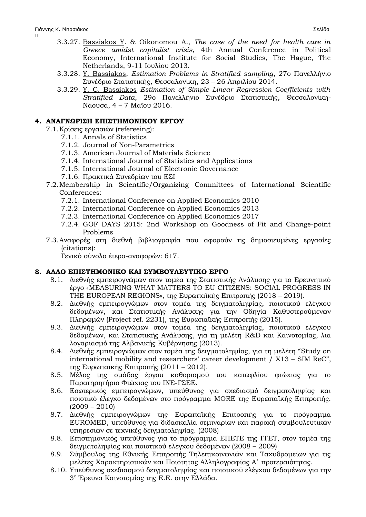$\Box$ 

- 3.3.27. Bassiakos Y. & Oikonomou A., *The case of the need for health care in Greece amidst capitalist crisis*, 4th Annual Conference in Political Economy, International Institute for Social Studies, The Hague, The Netherlands, 9-11 Ιουλίου 2013.
- 3.3.28. Y. Bassiakos, *Estimation Problems in Stratified sampling*, 27ο Πανελλήνιο Συνέδριο Στατιστικής, Θεσσαλονίκη, 23 – 26 Απριλίου 2014.
- 3.3.29. Y. C. Bassiakos *Estimation of Simple Linear Regression Coefficients with Stratified Data*, 29ο Πανελλήνιο Συνέδριο Στατιστικής, Θεσσαλονίκη-Νάουσα, 4 – 7 Μαΐου 2016.

## **4. ΑΝΑΓΝΩΡΙΣΗ ΕΠΙΣΤΗΜΟΝΙΚΟΥ ΕΡΓΟΥ**

- 7.1.Κρίσεις εργασιών (refereeing):
	- 7.1.1. Annals of Statistics
	- 7.1.2. Journal of Non-Parametrics
	- 7.1.3. American Journal of Materials Science
	- 7.1.4. International Journal of Statistics and Applications
	- 7.1.5. International Journal of Electronic Governance
	- 7.1.6. Πρακτικά Συνεδρίων του ΕΣΙ
- 7.2.Membership in Scientific/Organizing Committees of International Scientific Conferences:
	- 7.2.1. International Conference on Applied Economics 2010
	- 7.2.2. International Conference on Applied Economics 2013
	- 7.2.3. International Conference on Applied Economics 2017
	- 7.2.4. GOF DAYS 2015: 2nd Workshop on Goodness of Fit and Change-point Problems
- 7.3.Αναφορές στη διεθνή βιβλιογραφία που αφορούν τις δημοσιευμένες εργασίες (citations):

Γενικό σύνολο έτερο-αναφορών: 617.

# **8. ΑΛΛΟ ΕΠΙΣΤΗΜΟΝΙΚΟ ΚΑΙ ΣΥΜΒΟΥΛΕΥΤΙΚΟ ΕΡΓΟ**

- 8.1. Διεθνής εμπειρογνώμων στον τομέα της Στατιστικής Ανάλυσης για το Ερευνητικό έργο «MEASURING WHAT MATTERS TO EU CITIZENS: SOCIAL PROGRESS IN THE EUROPEAN REGIONS», της Ευρωπαϊκής Επιτροπής (2018 – 2019).
- 8.2. Διεθνής εμπειρογνώμων στον τομέα της δειγματοληψίας, ποιοτικού ελέγχου δεδομένων, και Στατιστικής Ανάλυσης για την Οδηγία Καθυστερούμενων Πληρωμών (Project ref. 2231), της Ευρωπαϊκής Επιτροπής (2015).
- 8.3. Διεθνής εμπειρογνώμων στον τομέα της δειγματοληψίας, ποιοτικού ελέγχου δεδομένων, και Στατιστικής Ανάλυσης, για τη μελέτη R&D και Καινοτομίας, λια λογαριασμό της Αλβανικής Κυβέρνησης (2013).
- 8.4. Διεθνής εμπειρογνώμων στον τομέα της δειγματοληψίας, για τη μελέτη "Study on international mobility and researchers' career development / X13 – SIM ReC", της Ευρωπαϊκής Επιτροπής (2011 – 2012).
- 8.5. Μέλος της ομάδας έργου καθορισμού του κατωφλίου φτώχιας για το Παρατηρητήριο Φτώχιας του ΙΝΕ-ΓΣΕΕ.
- 8.6. Εσωτερικός εμπειρογνώμων, υπεύθυνος για σχεδιασμό δειγματοληψίας και ποιοτικό έλεγχο δεδομένων στο πρόγραμμα MORE της Ευρωπαϊκής Επιτροπής. (2009 – 2010)
- 8.7. Διεθνής εμπειρογνώμων της Ευρωπαϊκής Επιτροπής για το πρόγραμμα EUROMED, υπεύθυνος για διδασκαλία σεμιναρίων και παροχή συμβουλευτικών υπηρεσιών σε τεχνικές δειγματοληψίας. (2008)
- 8.8. Επιστημονικός υπεύθυνος για το πρόγραμμα ΕΠΕΤΕ της ΓΓΕΤ, στον τομέα της δειγματοληψίας και ποιοτικού ελέγχου δεδομένων (2008 – 2009)
- 8.9. Σύμβουλος της Εθνικής Επιτροπής Τηλεπικοινωνιών και Ταχυδρομείων για τις μελέτες Χαρακτηριστικών και Ποιότητας Αλληλογραφίας Α΄ προτεραιότητας.
- 8.10. Υπεύθυνος σχεδιασμού δειγματοληψίας και ποιοτικού ελέγχου δεδομένων για την 3 η Έρευνα Καινοτομίας της Ε.Ε. στην Ελλάδα.